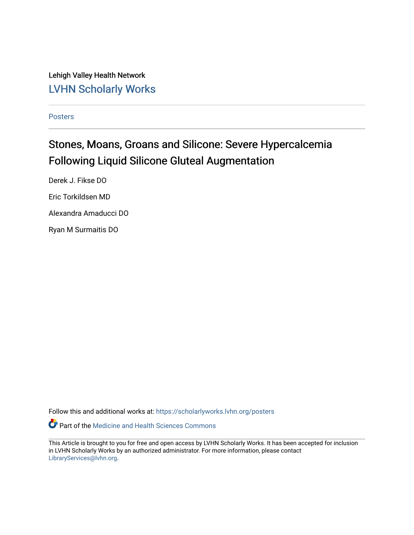Lehigh Valley Health Network [LVHN Scholarly Works](https://scholarlyworks.lvhn.org/)

[Posters](https://scholarlyworks.lvhn.org/posters) 

#### Stones, Moans, Groans and Silicone: Severe Hypercalcemia Following Liquid Silicone Gluteal Augmentation

Derek J. Fikse DO Eric Torkildsen MD Alexandra Amaducci DO Ryan M Surmaitis DO

Follow this and additional works at: [https://scholarlyworks.lvhn.org/posters](https://scholarlyworks.lvhn.org/posters?utm_source=scholarlyworks.lvhn.org%2Fposters%2F28&utm_medium=PDF&utm_campaign=PDFCoverPages) 

Part of the [Medicine and Health Sciences Commons](http://network.bepress.com/hgg/discipline/648?utm_source=scholarlyworks.lvhn.org%2Fposters%2F28&utm_medium=PDF&utm_campaign=PDFCoverPages) 

This Article is brought to you for free and open access by LVHN Scholarly Works. It has been accepted for inclusion in LVHN Scholarly Works by an authorized administrator. For more information, please contact [LibraryServices@lvhn.org](mailto:LibraryServices@lvhn.org).